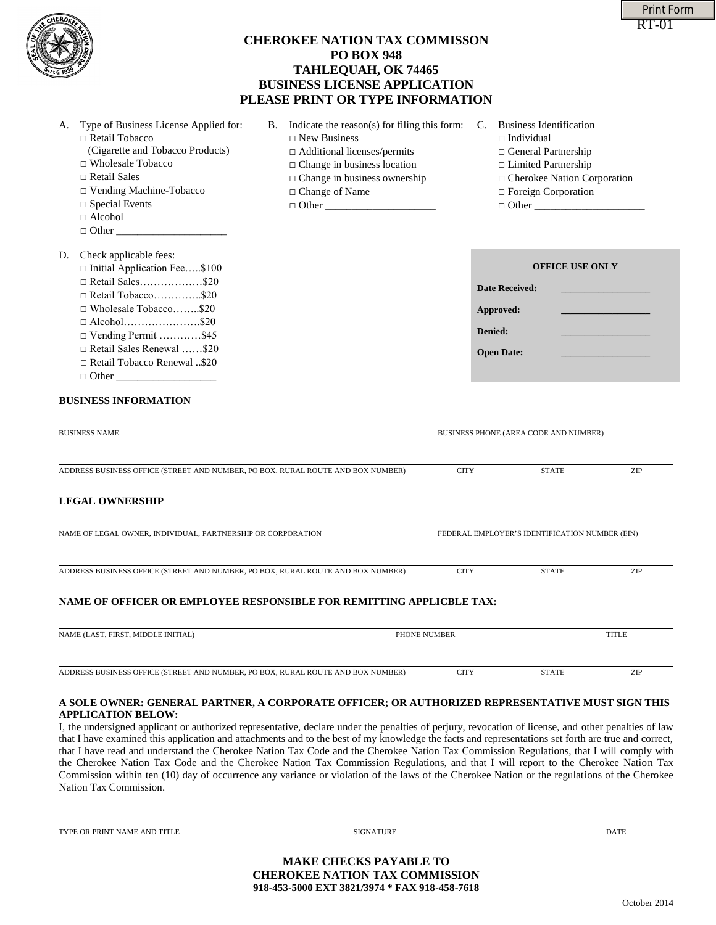| $\Box$ Vending Machine-Tobacco                                                        | □ Change of Name                                                                                                                                                                                                                                                                                                                                                                                                                                                                                                                                                                                                                                                                                                                                                                                                                                 |                                                | $\Box$ Foreign Corporation |              |  |
|---------------------------------------------------------------------------------------|--------------------------------------------------------------------------------------------------------------------------------------------------------------------------------------------------------------------------------------------------------------------------------------------------------------------------------------------------------------------------------------------------------------------------------------------------------------------------------------------------------------------------------------------------------------------------------------------------------------------------------------------------------------------------------------------------------------------------------------------------------------------------------------------------------------------------------------------------|------------------------------------------------|----------------------------|--------------|--|
| $\Box$ Special Events<br>$\Box$ Alcohol                                               | $\Box$ Other                                                                                                                                                                                                                                                                                                                                                                                                                                                                                                                                                                                                                                                                                                                                                                                                                                     | $\Box$ Other                                   |                            |              |  |
| $\Box$ Other                                                                          |                                                                                                                                                                                                                                                                                                                                                                                                                                                                                                                                                                                                                                                                                                                                                                                                                                                  |                                                |                            |              |  |
|                                                                                       |                                                                                                                                                                                                                                                                                                                                                                                                                                                                                                                                                                                                                                                                                                                                                                                                                                                  |                                                |                            |              |  |
| D. Check applicable fees:<br>$\Box$ Initial Application Fee\$100                      |                                                                                                                                                                                                                                                                                                                                                                                                                                                                                                                                                                                                                                                                                                                                                                                                                                                  |                                                | <b>OFFICE USE ONLY</b>     |              |  |
| $\Box$ Retail Sales\$20                                                               |                                                                                                                                                                                                                                                                                                                                                                                                                                                                                                                                                                                                                                                                                                                                                                                                                                                  |                                                |                            |              |  |
| $\Box$ Retail Tobacco\$20                                                             |                                                                                                                                                                                                                                                                                                                                                                                                                                                                                                                                                                                                                                                                                                                                                                                                                                                  | <b>Date Received:</b>                          |                            |              |  |
| □ Wholesale Tobacco\$20                                                               |                                                                                                                                                                                                                                                                                                                                                                                                                                                                                                                                                                                                                                                                                                                                                                                                                                                  | Approved:                                      |                            |              |  |
| $\Box$ Alcohol\$20                                                                    |                                                                                                                                                                                                                                                                                                                                                                                                                                                                                                                                                                                                                                                                                                                                                                                                                                                  |                                                |                            |              |  |
| $\Box$ Vending Permit \$45                                                            |                                                                                                                                                                                                                                                                                                                                                                                                                                                                                                                                                                                                                                                                                                                                                                                                                                                  | Denied:                                        |                            |              |  |
| Retail Sales Renewal \$20                                                             |                                                                                                                                                                                                                                                                                                                                                                                                                                                                                                                                                                                                                                                                                                                                                                                                                                                  | <b>Open Date:</b>                              |                            |              |  |
| □ Retail Tobacco Renewal \$20                                                         |                                                                                                                                                                                                                                                                                                                                                                                                                                                                                                                                                                                                                                                                                                                                                                                                                                                  |                                                |                            |              |  |
|                                                                                       |                                                                                                                                                                                                                                                                                                                                                                                                                                                                                                                                                                                                                                                                                                                                                                                                                                                  |                                                |                            |              |  |
| <b>BUSINESS INFORMATION</b>                                                           |                                                                                                                                                                                                                                                                                                                                                                                                                                                                                                                                                                                                                                                                                                                                                                                                                                                  |                                                |                            |              |  |
| <b>BUSINESS NAME</b>                                                                  |                                                                                                                                                                                                                                                                                                                                                                                                                                                                                                                                                                                                                                                                                                                                                                                                                                                  | BUSINESS PHONE (AREA CODE AND NUMBER)          |                            |              |  |
|                                                                                       |                                                                                                                                                                                                                                                                                                                                                                                                                                                                                                                                                                                                                                                                                                                                                                                                                                                  |                                                |                            |              |  |
|                                                                                       | ADDRESS BUSINESS OFFICE (STREET AND NUMBER, PO BOX, RURAL ROUTE AND BOX NUMBER)                                                                                                                                                                                                                                                                                                                                                                                                                                                                                                                                                                                                                                                                                                                                                                  | <b>CITY</b>                                    | <b>STATE</b>               | ZIP          |  |
| <b>LEGAL OWNERSHIP</b><br>NAME OF LEGAL OWNER, INDIVIDUAL, PARTNERSHIP OR CORPORATION |                                                                                                                                                                                                                                                                                                                                                                                                                                                                                                                                                                                                                                                                                                                                                                                                                                                  | FEDERAL EMPLOYER'S IDENTIFICATION NUMBER (EIN) |                            |              |  |
|                                                                                       |                                                                                                                                                                                                                                                                                                                                                                                                                                                                                                                                                                                                                                                                                                                                                                                                                                                  |                                                |                            |              |  |
|                                                                                       | ADDRESS BUSINESS OFFICE (STREET AND NUMBER, PO BOX, RURAL ROUTE AND BOX NUMBER)                                                                                                                                                                                                                                                                                                                                                                                                                                                                                                                                                                                                                                                                                                                                                                  | <b>CITY</b>                                    | <b>STATE</b>               | ZIP          |  |
|                                                                                       | NAME OF OFFICER OR EMPLOYEE RESPONSIBLE FOR REMITTING APPLICBLE TAX:                                                                                                                                                                                                                                                                                                                                                                                                                                                                                                                                                                                                                                                                                                                                                                             |                                                |                            |              |  |
| NAME (LAST, FIRST, MIDDLE INITIAL)                                                    |                                                                                                                                                                                                                                                                                                                                                                                                                                                                                                                                                                                                                                                                                                                                                                                                                                                  | PHONE NUMBER                                   |                            | <b>TITLE</b> |  |
|                                                                                       |                                                                                                                                                                                                                                                                                                                                                                                                                                                                                                                                                                                                                                                                                                                                                                                                                                                  |                                                |                            |              |  |
|                                                                                       | ADDRESS BUSINESS OFFICE (STREET AND NUMBER, PO BOX, RURAL ROUTE AND BOX NUMBER)                                                                                                                                                                                                                                                                                                                                                                                                                                                                                                                                                                                                                                                                                                                                                                  | <b>CITY</b>                                    | <b>STATE</b>               | ZIP          |  |
| <b>APPLICATION BELOW:</b><br>Nation Tax Commission.                                   | A SOLE OWNER: GENERAL PARTNER, A CORPORATE OFFICER; OR AUTHORIZED REPRESENTATIVE MUST SIGN THIS<br>I, the undersigned applicant or authorized representative, declare under the penalties of perjury, revocation of license, and other penalties of law<br>that I have examined this application and attachments and to the best of my knowledge the facts and representations set forth are true and correct,<br>that I have read and understand the Cherokee Nation Tax Code and the Cherokee Nation Tax Commission Regulations, that I will comply with<br>the Cherokee Nation Tax Code and the Cherokee Nation Tax Commission Regulations, and that I will report to the Cherokee Nation Tax<br>Commission within ten (10) day of occurrence any variance or violation of the laws of the Cherokee Nation or the regulations of the Cherokee |                                                |                            |              |  |
| TYPE OR PRINT NAME AND TITLE                                                          | <b>SIGNATURE</b>                                                                                                                                                                                                                                                                                                                                                                                                                                                                                                                                                                                                                                                                                                                                                                                                                                 |                                                |                            | DATE         |  |
|                                                                                       | <b>MAKE CHECKS PAYABLE TO</b>                                                                                                                                                                                                                                                                                                                                                                                                                                                                                                                                                                                                                                                                                                                                                                                                                    |                                                |                            |              |  |
|                                                                                       |                                                                                                                                                                                                                                                                                                                                                                                                                                                                                                                                                                                                                                                                                                                                                                                                                                                  |                                                |                            |              |  |

# **CHEROKEE NATION TAX COMMISSON PO BOX 948 TAHLEQUAH, OK 74465 BUSINESS LICENSE APPLICATION PLEASE PRINT OR TYPE INFORMATION**

| A. Type of Business License Applied for: |  |
|------------------------------------------|--|
| $\Box$ Retail Tobacco                    |  |
| $(0, 1)$ $(1, 1)$ $(1, 1)$               |  |

- (Cigarette and Tobacco Products)
- □ Wholesale Tobacco
- □ Retail Sales
- □ Vending Machine-Tobacco
- $\square$  Spec
- $\square$  Alco
- $\Box$  Other

# D. Check

| $\Box$ Initial Application Fee\$100 |  |
|-------------------------------------|--|
| $\Box$ Retail Sales\$20             |  |
| $\Box$ Retail Tobacco\$20           |  |
| $\Box$ Wholesale Tobacco\$20        |  |
|                                     |  |
| $\Box$ Vending Permit \$45          |  |
| □ Retail Sales Renewal \$20         |  |
| □ Retail Tobacco Renewal \$20       |  |
|                                     |  |
|                                     |  |

## **BUSINESS**

# **LEGAL O**

| NAME OF LEGAL OWNER. INDIVIDUAL, PARTNERSHIP OR CORPORATION                     | FEDERAL EMPLOYER'S IDENTIFICATION NUMBER (EIN) |              |            |  |  |  |  |
|---------------------------------------------------------------------------------|------------------------------------------------|--------------|------------|--|--|--|--|
| ADDRESS BUSINESS OFFICE (STREET AND NUMBER, PO BOX, RURAL ROUTE AND BOX NUMBER) | CITY                                           | <b>STATE</b> | <b>ZIP</b> |  |  |  |  |
| NAME OF OFFICER OR EMPLOYEE RESPONSIBLE FOR REMITTING APPLICBLE TAX:            |                                                |              |            |  |  |  |  |

## **A SOLE OWNER: GENERAL PARTNER, A CORPORATE OFFICER; OR AUTHORIZED REPRESENTATIVE MUST SIGN THIS**  APPLICAT

**MAKE CHECKS PAYABLE TO CHEROKEE NATION TAX COMMISSION 918-453-5000 EXT 3821/3974 \* FAX 918-458-7618**

- B. Indicate the reason(s) for filing this form: C. Business Identification □ New Business
	- □ Additional licenses/permits
	- □ Change in business location
	- □ Change in business ownership
		-
- 
- $\square$  Individual
- □ General Partnership
- □ Limited Partnership
- □ Cherokee Nation Corporation
- $E_{\text{period}} \cap$